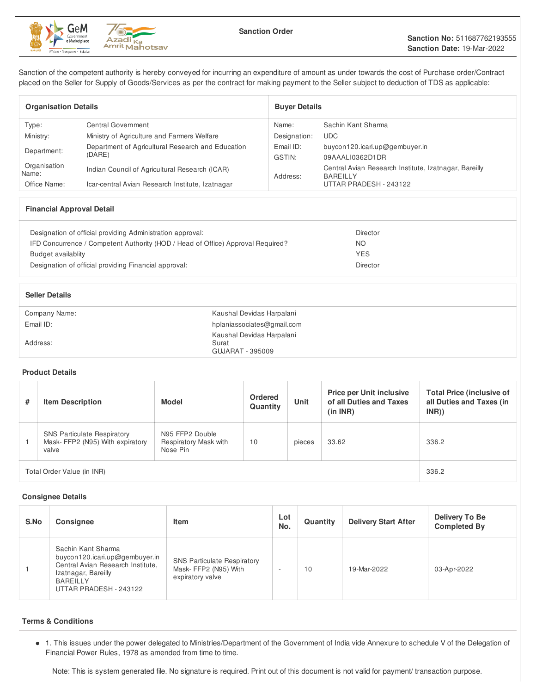



Sanction of the competent authority is hereby conveyed for incurring an expenditure of amount as under towards the cost of Purchase order/Contract placed on the Seller for Supply of Goods/Services as per the contract for making payment to the Seller subject to deduction of TDS as applicable:

| <b>Organisation Details</b> |                                                             | <b>Buver Details</b> |                                                                          |  |  |
|-----------------------------|-------------------------------------------------------------|----------------------|--------------------------------------------------------------------------|--|--|
| Type:                       | Central Government                                          | Name:                | Sachin Kant Sharma                                                       |  |  |
| Ministry:                   | Ministry of Agriculture and Farmers Welfare                 | Designation:         | <b>UDC</b>                                                               |  |  |
| Department:                 | Department of Agricultural Research and Education<br>(DARE) | Email ID:            | buycon120.icari.up@gembuyer.in                                           |  |  |
|                             |                                                             | GSTIN:               | 09AAALI0362D1DR                                                          |  |  |
| Organisation<br>Name:       | Indian Council of Agricultural Research (ICAR)              | Address:             | Central Avian Research Institute, Izatnagar, Bareilly<br><b>BAREILLY</b> |  |  |
| Office Name:                | Icar-central Avian Research Institute, Izatnagar            |                      | UTTAR PRADESH - 243122                                                   |  |  |

# **Financial Approval Detail**

| Designation of official providing Administration approval:                      | Director        |
|---------------------------------------------------------------------------------|-----------------|
| IFD Concurrence / Competent Authority (HOD / Head of Office) Approval Required? | NO              |
| Budget availablity                                                              | <b>YES</b>      |
| Designation of official providing Financial approval:                           | <b>Director</b> |
|                                                                                 |                 |

| <b>Seller Details</b> |                                                        |
|-----------------------|--------------------------------------------------------|
| Company Name:         | Kaushal Devidas Harpalani                              |
| Email ID:             | hplaniassociates@gmail.com                             |
| Address:              | Kaushal Devidas Harpalani<br>Surat<br>GUJARAT - 395009 |

## **Product Details**

| # | <b>Item Description</b>                                                        | <b>Model</b>                                         | <b>Ordered</b><br>Quantity | Unit   | <b>Price per Unit inclusive</b><br>of all Duties and Taxes<br>(in INR) | <b>Total Price (inclusive of</b><br>all Duties and Taxes (in<br>INR) |
|---|--------------------------------------------------------------------------------|------------------------------------------------------|----------------------------|--------|------------------------------------------------------------------------|----------------------------------------------------------------------|
|   | <b>SNS Particulate Respiratory</b><br>Mask-FFP2 (N95) With expiratory<br>valve | N95 FFP2 Double<br>Respiratory Mask with<br>Nose Pin | 10                         | pieces | 33.62                                                                  | 336.2                                                                |
|   | Total Order Value (in INR)                                                     | 336.2                                                |                            |        |                                                                        |                                                                      |

## **Consignee Details**

| S.No | <b>Consignee</b>                                                                                                                                              | Item                                                                           | Lot<br>No. | Quantity | <b>Delivery Start After</b> | Delivery To Be<br><b>Completed By</b> |
|------|---------------------------------------------------------------------------------------------------------------------------------------------------------------|--------------------------------------------------------------------------------|------------|----------|-----------------------------|---------------------------------------|
|      | Sachin Kant Sharma<br>buycon120.icari.up@gembuyer.in<br>Central Avian Research Institute,<br>Izatnagar, Bareilly<br><b>BAREILLY</b><br>UTTAR PRADESH - 243122 | <b>SNS Particulate Respiratory</b><br>Mask-FFP2 (N95) With<br>expiratory valve |            | 10       | 19-Mar-2022                 | 03-Apr-2022                           |

# **Terms & Conditions**

• 1. This issues under the power delegated to Ministries/Department of the Government of India vide Annexure to schedule V of the Delegation of Financial Power Rules, 1978 as amended from time to time.

Note: This is system generated file. No signature is required. Print out of this document is not valid for payment/ transaction purpose.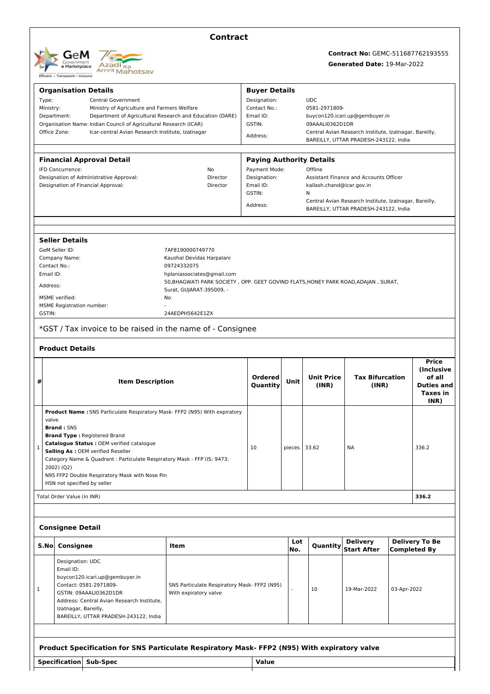

# **Contract**

# **Contract No:** GEMC-511687762193555

**Generated Date:** 19-Mar-2022

|           | <b>Organisation Details</b>                                                                                                                  |                                                                          |                                                                                              | <b>Buyer Details</b>                                                                                        |              |                             |                                                        |             |                                                           |
|-----------|----------------------------------------------------------------------------------------------------------------------------------------------|--------------------------------------------------------------------------|----------------------------------------------------------------------------------------------|-------------------------------------------------------------------------------------------------------------|--------------|-----------------------------|--------------------------------------------------------|-------------|-----------------------------------------------------------|
| Type:     | <b>Central Government</b><br>Ministry:<br>Ministry of Agriculture and Farmers Welfare                                                        |                                                                          |                                                                                              | Designation:                                                                                                |              | <b>UDC</b><br>0581-2971809- |                                                        |             |                                                           |
|           |                                                                                                                                              |                                                                          |                                                                                              | Email ID:                                                                                                   | Contact No.: |                             | buycon120.icari.up@gembuyer.in                         |             |                                                           |
|           | Department:<br>Department of Agricultural Research and Education (DARE)<br>Organisation Name: Indian Council of Agricultural Research (ICAR) |                                                                          |                                                                                              | GSTIN:                                                                                                      |              | 09AAALI0362D1DR             |                                                        |             |                                                           |
|           | Office Zone:                                                                                                                                 | Icar-central Avian Research Institute, Izatnagar                         |                                                                                              | Address:                                                                                                    |              |                             | Central Avian Research Institute, Izatnagar, Bareilly, |             |                                                           |
|           |                                                                                                                                              |                                                                          |                                                                                              |                                                                                                             |              |                             | BAREILLY, UTTAR PRADESH-243122, India                  |             |                                                           |
|           |                                                                                                                                              | <b>Financial Approval Detail</b>                                         |                                                                                              | <b>Paying Authority Details</b>                                                                             |              |                             |                                                        |             |                                                           |
|           | IFD Concurrence:                                                                                                                             |                                                                          | No                                                                                           | Payment Mode:                                                                                               |              | Offline                     |                                                        |             |                                                           |
|           |                                                                                                                                              | Designation of Administrative Approval:                                  | Director                                                                                     | Designation:                                                                                                |              |                             | Assistant Finance and Accounts Officer                 |             |                                                           |
|           |                                                                                                                                              | Designation of Financial Approval:                                       | Director                                                                                     | Email ID:                                                                                                   |              | kailash.chand@icar.gov.in   |                                                        |             |                                                           |
|           |                                                                                                                                              |                                                                          |                                                                                              | GSTIN:<br>N                                                                                                 |              |                             |                                                        |             |                                                           |
|           |                                                                                                                                              |                                                                          |                                                                                              | Central Avian Research Institute, Izatnagar, Bareilly,<br>Address:<br>BAREILLY, UTTAR PRADESH-243122, India |              |                             |                                                        |             |                                                           |
|           |                                                                                                                                              |                                                                          |                                                                                              |                                                                                                             |              |                             |                                                        |             |                                                           |
|           | <b>Seller Details</b>                                                                                                                        |                                                                          |                                                                                              |                                                                                                             |              |                             |                                                        |             |                                                           |
|           | GeM Seller ID:                                                                                                                               |                                                                          | 7AF8190000749770                                                                             |                                                                                                             |              |                             |                                                        |             |                                                           |
|           | Company Name:                                                                                                                                |                                                                          | Kaushal Devidas Harpalani                                                                    |                                                                                                             |              |                             |                                                        |             |                                                           |
|           | Contact No.:                                                                                                                                 |                                                                          | 09724332075                                                                                  |                                                                                                             |              |                             |                                                        |             |                                                           |
| Email ID: |                                                                                                                                              |                                                                          | hplaniassociates@gmail.com                                                                   |                                                                                                             |              |                             |                                                        |             |                                                           |
| Address:  |                                                                                                                                              |                                                                          | 50, BHAGWATI PARK SOCIETY, OPP. GEET GOVIND FLATS, HONEY PARK ROAD, ADAJAN, SURAT,           |                                                                                                             |              |                             |                                                        |             |                                                           |
|           |                                                                                                                                              |                                                                          | Surat, GUJARAT-395009, -                                                                     |                                                                                                             |              |                             |                                                        |             |                                                           |
|           | MSME verified:<br><b>MSME Registration number:</b>                                                                                           |                                                                          | No                                                                                           |                                                                                                             |              |                             |                                                        |             |                                                           |
| GSTIN:    |                                                                                                                                              |                                                                          | 24AEDPH5642E1ZX                                                                              |                                                                                                             |              |                             |                                                        |             |                                                           |
|           |                                                                                                                                              |                                                                          | *GST / Tax invoice to be raised in the name of - Consignee                                   |                                                                                                             |              |                             |                                                        |             |                                                           |
|           |                                                                                                                                              |                                                                          |                                                                                              |                                                                                                             |              |                             |                                                        |             |                                                           |
|           | <b>Product Details</b>                                                                                                                       |                                                                          |                                                                                              |                                                                                                             |              |                             |                                                        |             |                                                           |
| #         |                                                                                                                                              | <b>Item Description</b>                                                  |                                                                                              | Ordered<br>Quantity                                                                                         | Unit         | <b>Unit Price</b><br>(INR)  | <b>Tax Bifurcation</b><br>(INR)                        |             | <b>Price</b><br>(Inclusive<br>of all<br><b>Duties and</b> |
|           |                                                                                                                                              |                                                                          |                                                                                              |                                                                                                             |              |                             |                                                        |             | <b>Taxes in</b><br>INR)                                   |
|           |                                                                                                                                              |                                                                          | Product Name : SNS Particulate Respiratory Mask- FFP2 (N95) With expiratory                  |                                                                                                             |              |                             |                                                        |             |                                                           |
| valve     | <b>Brand: SNS</b>                                                                                                                            |                                                                          |                                                                                              |                                                                                                             |              |                             |                                                        |             |                                                           |
|           |                                                                                                                                              | <b>Brand Type: Registered Brand</b>                                      |                                                                                              |                                                                                                             |              |                             |                                                        |             |                                                           |
|           |                                                                                                                                              | Catalogue Status : OEM verified catalogue                                |                                                                                              |                                                                                                             |              |                             |                                                        |             |                                                           |
|           |                                                                                                                                              | Selling As : OEM verified Reseller                                       |                                                                                              | 10                                                                                                          | pieces       | 33.62                       | NA.                                                    |             | 336.2                                                     |
|           |                                                                                                                                              | Category Name & Quadrant : Particulate Respiratory Mask - FFP (IS: 9473: |                                                                                              |                                                                                                             |              |                             |                                                        |             |                                                           |
|           | 2002) (Q2)                                                                                                                                   |                                                                          |                                                                                              |                                                                                                             |              |                             |                                                        |             |                                                           |
|           |                                                                                                                                              | N95 FFP2 Double Respiratory Mask with Nose Pin                           |                                                                                              |                                                                                                             |              |                             |                                                        |             |                                                           |
|           | HSN not specified by seller                                                                                                                  |                                                                          |                                                                                              |                                                                                                             |              |                             |                                                        |             |                                                           |
|           | 336.2<br>Total Order Value (in INR)                                                                                                          |                                                                          |                                                                                              |                                                                                                             |              |                             |                                                        |             |                                                           |
|           |                                                                                                                                              |                                                                          |                                                                                              |                                                                                                             |              |                             |                                                        |             |                                                           |
|           | <b>Consignee Detail</b>                                                                                                                      |                                                                          |                                                                                              |                                                                                                             |              |                             |                                                        |             |                                                           |
| S.No      | Consignee                                                                                                                                    |                                                                          | Item                                                                                         |                                                                                                             | Lot<br>No.   | Quantity                    | <b>Delivery</b><br><b>Start After</b>                  |             | <b>Delivery To Be</b><br><b>Completed By</b>              |
|           | Designation: UDC                                                                                                                             |                                                                          |                                                                                              |                                                                                                             |              |                             |                                                        |             |                                                           |
|           | Email ID:                                                                                                                                    |                                                                          |                                                                                              |                                                                                                             |              |                             |                                                        |             |                                                           |
|           | Contact: 0581-2971809-                                                                                                                       | buycon120.icari.up@gembuyer.in                                           | SNS Particulate Respiratory Mask- FFP2 (N95)                                                 |                                                                                                             |              |                             |                                                        |             |                                                           |
| 1         |                                                                                                                                              | GSTIN: 09AAALI0362D1DR                                                   | With expiratory valve                                                                        |                                                                                                             |              | 10                          | 19-Mar-2022                                            | 03-Apr-2022 |                                                           |
|           |                                                                                                                                              | Address: Central Avian Research Institute,                               |                                                                                              |                                                                                                             |              |                             |                                                        |             |                                                           |
|           | Izatnagar, Bareilly,                                                                                                                         |                                                                          |                                                                                              |                                                                                                             |              |                             |                                                        |             |                                                           |
|           |                                                                                                                                              | BAREILLY, UTTAR PRADESH-243122, India                                    |                                                                                              |                                                                                                             |              |                             |                                                        |             |                                                           |
|           |                                                                                                                                              |                                                                          |                                                                                              |                                                                                                             |              |                             |                                                        |             |                                                           |
|           |                                                                                                                                              |                                                                          |                                                                                              |                                                                                                             |              |                             |                                                        |             |                                                           |
|           |                                                                                                                                              |                                                                          | Product Specification for SNS Particulate Respiratory Mask- FFP2 (N95) With expiratory valve |                                                                                                             |              |                             |                                                        |             |                                                           |
|           | Specification Sub-Spec                                                                                                                       |                                                                          |                                                                                              | Value                                                                                                       |              |                             |                                                        |             |                                                           |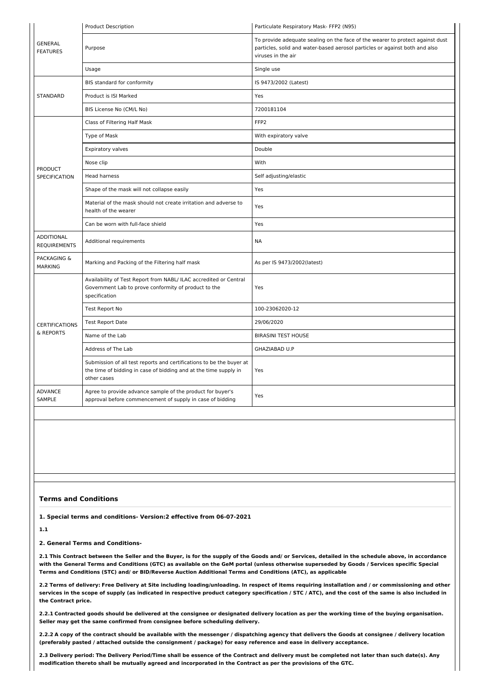|                                          | Product Description                                                                                                                                     | Particulate Respiratory Mask- FFP2 (N95)                                                                                                                                           |
|------------------------------------------|---------------------------------------------------------------------------------------------------------------------------------------------------------|------------------------------------------------------------------------------------------------------------------------------------------------------------------------------------|
| <b>GENERAL</b><br><b>FEATURES</b>        | Purpose                                                                                                                                                 | To provide adequate sealing on the face of the wearer to protect against dust<br>particles, solid and water-based aerosol particles or against both and also<br>viruses in the air |
|                                          | Usage                                                                                                                                                   | Single use                                                                                                                                                                         |
|                                          | BIS standard for conformity                                                                                                                             | IS 9473/2002 (Latest)                                                                                                                                                              |
| <b>STANDARD</b>                          | Product is ISI Marked                                                                                                                                   | Yes                                                                                                                                                                                |
|                                          | BIS License No (CM/L No)                                                                                                                                | 7200181104                                                                                                                                                                         |
|                                          | Class of Filtering Half Mask                                                                                                                            | FFP <sub>2</sub>                                                                                                                                                                   |
|                                          | Type of Mask                                                                                                                                            | With expiratory valve                                                                                                                                                              |
|                                          | <b>Expiratory valves</b>                                                                                                                                | Double                                                                                                                                                                             |
| <b>PRODUCT</b>                           | Nose clip                                                                                                                                               | With                                                                                                                                                                               |
| <b>SPECIFICATION</b>                     | Head harness                                                                                                                                            | Self adjusting/elastic                                                                                                                                                             |
|                                          | Shape of the mask will not collapse easily                                                                                                              | Yes                                                                                                                                                                                |
|                                          | Material of the mask should not create irritation and adverse to<br>health of the wearer                                                                | Yes                                                                                                                                                                                |
|                                          | Can be worn with full-face shield                                                                                                                       | Yes                                                                                                                                                                                |
| <b>ADDITIONAL</b><br><b>REOUIREMENTS</b> | Additional requirements                                                                                                                                 | <b>NA</b>                                                                                                                                                                          |
| <b>PACKAGING &amp;</b><br><b>MARKING</b> | Marking and Packing of the Filtering half mask                                                                                                          | As per IS 9473/2002(latest)                                                                                                                                                        |
|                                          | Availability of Test Report from NABL/ ILAC accredited or Central<br>Government Lab to prove conformity of product to the<br>specification              | Yes                                                                                                                                                                                |
|                                          | Test Report No                                                                                                                                          | 100-23062020-12                                                                                                                                                                    |
| <b>CERTIFICATIONS</b>                    | <b>Test Report Date</b>                                                                                                                                 | 29/06/2020                                                                                                                                                                         |
| & REPORTS                                | Name of the Lab                                                                                                                                         | <b>BIRASINI TEST HOUSE</b>                                                                                                                                                         |
|                                          | Address of The Lab                                                                                                                                      | GHAZIABAD U.P                                                                                                                                                                      |
|                                          | Submission of all test reports and certifications to be the buyer at<br>the time of bidding in case of bidding and at the time supply in<br>other cases | Yes                                                                                                                                                                                |
| <b>ADVANCE</b><br>SAMPLE                 | Agree to provide advance sample of the product for buyer's<br>approval before commencement of supply in case of bidding                                 | Yes                                                                                                                                                                                |

#### **Terms and Conditions**

**1. Special terms and conditions- Version:2 effective from 06-07-2021**

**1.1**

#### **2. General Terms and Conditions-**

2.1 This Contract between the Seller and the Buyer, is for the supply of the Goods and/ or Services, detailed in the schedule above, in accordance with the General Terms and Conditions (GTC) as available on the GeM portal (unless otherwise superseded by Goods / Services specific Special **Terms and Conditions (STC) and/ or BID/Reverse Auction Additional Terms and Conditions (ATC), as applicable**

2.2 Terms of delivery: Free Delivery at Site including loading/unloading. In respect of items requiring installation and / or commissioning and other services in the scope of supply (as indicated in respective product category specification / STC / ATC), and the cost of the same is also included in **the Contract price.**

2.2.1 Contracted goods should be delivered at the consignee or designated delivery location as per the working time of the buying organisation. **Seller may get the same confirmed from consignee before scheduling delivery.**

2.2.2 A copy of the contract should be available with the messenger / dispatching agency that delivers the Goods at consignee / delivery location (preferably pasted / attached outside the consignment / package) for easy reference and ease in delivery acceptance.

2.3 Delivery period: The Delivery Period/Time shall be essence of the Contract and delivery must be completed not later than such date(s). Any modification thereto shall be mutually agreed and incorporated in the Contract as per the provisions of the GTC.